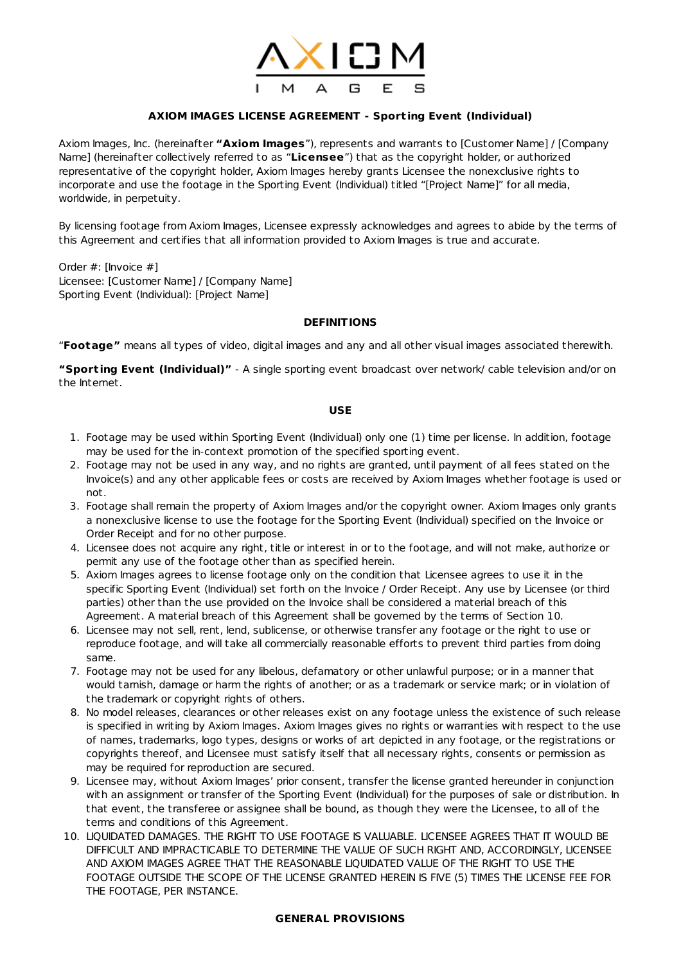

# **AXIOM IMAGES LICENSE AGREEMENT - Sport ing Event (Individual)**

Axiom Images, Inc. (hereinafter **"Axiom Images**"), represents and warrants to [Customer Name] / [Company Name] (hereinafter collectively referred to as "**Licensee**") that as the copyright holder, or authorized representative of the copyright holder, Axiom Images hereby grants Licensee the nonexclusive rights to incorporate and use the footage in the Sporting Event (Individual) titled "[Project Name]" for all media, worldwide, in perpetuity.

By licensing footage from Axiom Images, Licensee expressly acknowledges and agrees to abide by the terms of this Agreement and certifies that all information provided to Axiom Images is true and accurate.

Order #: [Invoice #] Licensee: [Customer Name] / [Company Name] Sporting Event (Individual): [Project Name]

## **DEFINITIONS**

"**Footage"** means all types of video, digital images and any and all other visual images associated therewith.

**"Sport ing Event (Individual)"** - A single sporting event broadcast over network/ cable television and/or on the Internet.

## **USE**

- 1. Footage may be used within Sporting Event (Individual) only one (1) time per license. In addition, footage may be used for the in-context promotion of the specified sporting event.
- 2. Footage may not be used in any way, and no rights are granted, until payment of all fees stated on the Invoice(s) and any other applicable fees or costs are received by Axiom Images whether footage is used or not.
- 3. Footage shall remain the property of Axiom Images and/or the copyright owner. Axiom Images only grants a nonexclusive license to use the footage for the Sporting Event (Individual) specified on the Invoice or Order Receipt and for no other purpose.
- 4. Licensee does not acquire any right, title or interest in or to the footage, and will not make, authorize or permit any use of the footage other than as specified herein.
- 5. Axiom Images agrees to license footage only on the condition that Licensee agrees to use it in the specific Sporting Event (Individual) set forth on the Invoice / Order Receipt. Any use by Licensee (or third parties) other than the use provided on the Invoice shall be considered a material breach of this Agreement. A material breach of this Agreement shall be governed by the terms of Section 10.
- 6. Licensee may not sell, rent, lend, sublicense, or otherwise transfer any footage or the right to use or reproduce footage, and will take all commercially reasonable efforts to prevent third parties from doing same.
- 7. Footage may not be used for any libelous, defamatory or other unlawful purpose; or in a manner that would tarnish, damage or harm the rights of another; or as a trademark or service mark; or in violation of the trademark or copyright rights of others.
- 8. No model releases, clearances or other releases exist on any footage unless the existence of such release is specified in writing by Axiom Images. Axiom Images gives no rights or warranties with respect to the use of names, trademarks, logo types, designs or works of art depicted in any footage, or the registrations or copyrights thereof, and Licensee must satisfy itself that all necessary rights, consents or permission as may be required for reproduction are secured.
- 9. Licensee may, without Axiom Images' prior consent, transfer the license granted hereunder in conjunction with an assignment or transfer of the Sporting Event (Individual) for the purposes of sale or distribution. In that event, the transferee or assignee shall be bound, as though they were the Licensee, to all of the terms and conditions of this Agreement.
- 10. LIQUIDATED DAMAGES. THE RIGHT TO USE FOOTAGE IS VALUABLE. LICENSEE AGREES THAT IT WOULD BE DIFFICULT AND IMPRACTICABLE TO DETERMINE THE VALUE OF SUCH RIGHT AND, ACCORDINGLY, LICENSEE AND AXIOM IMAGES AGREE THAT THE REASONABLE LIQUIDATED VALUE OF THE RIGHT TO USE THE FOOTAGE OUTSIDE THE SCOPE OF THE LICENSE GRANTED HEREIN IS FIVE (5) TIMES THE LICENSE FEE FOR THE FOOTAGE, PER INSTANCE.

## **GENERAL PROVISIONS**